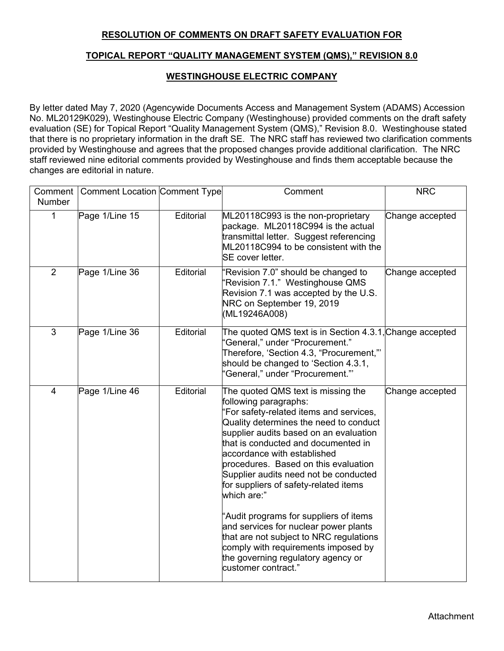## **RESOLUTION OF COMMENTS ON DRAFT SAFETY EVALUATION FOR**

## **TOPICAL REPORT "QUALITY MANAGEMENT SYSTEM (QMS)," REVISION 8.0**

## **WESTINGHOUSE ELECTRIC COMPANY**

By letter dated May 7, 2020 (Agencywide Documents Access and Management System (ADAMS) Accession No. ML20129K029), Westinghouse Electric Company (Westinghouse) provided comments on the draft safety evaluation (SE) for Topical Report "Quality Management System (QMS)," Revision 8.0. Westinghouse stated that there is no proprietary information in the draft SE. The NRC staff has reviewed two clarification comments provided by Westinghouse and agrees that the proposed changes provide additional clarification. The NRC staff reviewed nine editorial comments provided by Westinghouse and finds them acceptable because the changes are editorial in nature.

| Comment        | <b>Comment Location Comment Type</b> |           | Comment                                                                                                                                                                                                                                                                                                                                                                                                                                                                                                                                                                                                                                     | <b>NRC</b>      |
|----------------|--------------------------------------|-----------|---------------------------------------------------------------------------------------------------------------------------------------------------------------------------------------------------------------------------------------------------------------------------------------------------------------------------------------------------------------------------------------------------------------------------------------------------------------------------------------------------------------------------------------------------------------------------------------------------------------------------------------------|-----------------|
| <b>Number</b>  |                                      |           |                                                                                                                                                                                                                                                                                                                                                                                                                                                                                                                                                                                                                                             |                 |
| $\mathbf 1$    | Page 1/Line 15                       | Editorial | ML20118C993 is the non-proprietary<br>package. ML20118C994 is the actual<br>transmittal letter. Suggest referencing<br>ML20118C994 to be consistent with the<br>SE cover letter.                                                                                                                                                                                                                                                                                                                                                                                                                                                            | Change accepted |
| $\overline{2}$ | Page 1/Line 36                       | Editorial | Revision 7.0" should be changed to<br>Revision 7.1." Westinghouse QMS<br>Revision 7.1 was accepted by the U.S.<br>NRC on September 19, 2019<br>(ML19246A008)                                                                                                                                                                                                                                                                                                                                                                                                                                                                                | Change accepted |
| 3              | Page 1/Line 36                       | Editorial | The quoted QMS text is in Section 4.3.1, Change accepted<br>"General," under "Procurement."<br>Therefore, 'Section 4.3, "Procurement,"'<br>should be changed to 'Section 4.3.1,<br>"General," under "Procurement.""                                                                                                                                                                                                                                                                                                                                                                                                                         |                 |
| $\overline{4}$ | Page 1/Line 46                       | Editorial | The quoted QMS text is missing the<br>following paragraphs:<br>'For safety-related items and services,<br>Quality determines the need to conduct<br>supplier audits based on an evaluation<br>that is conducted and documented in<br>accordance with established<br>procedures. Based on this evaluation<br>Supplier audits need not be conducted<br>for suppliers of safety-related items<br>which are:"<br>"Audit programs for suppliers of items<br>and services for nuclear power plants<br>that are not subject to NRC regulations<br>comply with requirements imposed by<br>the governing regulatory agency or<br>customer contract." | Change accepted |